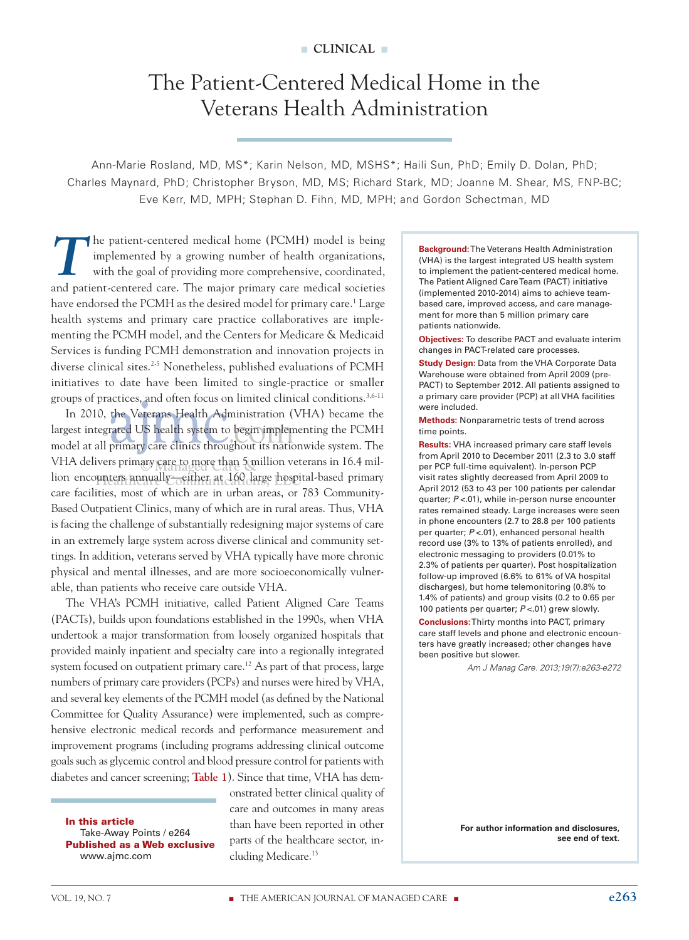# The Patient-Centered Medical Home in the Veterans Health Administration

Ann-Marie Rosland, MD, MS\*; Karin Nelson, MD, MSHS\*; Haili Sun, PhD; Emily D. Dolan, PhD; Charles Maynard, PhD; Christopher Bryson, MD, MS; Richard Stark, MD; Joanne M. Shear, MS, FNP-BC; Eve Kerr, MD, MPH; Stephan D. Fihn, MD, MPH; and Gordon Schectman, MD

The patient-centered medical home (PCMH) model is being<br>implemented by a growing number of health organizations,<br>with the goal of providing more comprehensive, coordinated, implemented by a growing number of health organizations, with the goal of providing more comprehensive, coordinated, and patient-centered care. The major primary care medical societies have endorsed the PCMH as the desired model for primary care.<sup>1</sup> Large health systems and primary care practice collaboratives are implementing the PCMH model, and the Centers for Medicare & Medicaid Services is funding PCMH demonstration and innovation projects in diverse clinical sites.<sup>2-5</sup> Nonetheless, published evaluations of PCMH initiatives to date have been limited to single-practice or smaller groups of practices, and often focus on limited clinical conditions.3,6-11

**© Managed Care &** VHA delivers primary care to more than 5 million veterans in 16.4 million encounters annually—either at 160 large hospital-based primary In 2010, the Veterans Health Administration (VHA) became the largest integrated US health system to begin implementing the PCMH model at all primary care clinics throughout its nationwide system. The care facilities, most of which are in urban areas, or 783 Community-Based Outpatient Clinics, many of which are in rural areas. Thus, VHA is facing the challenge of substantially redesigning major systems of care in an extremely large system across diverse clinical and community settings. In addition, veterans served by VHA typically have more chronic physical and mental illnesses, and are more socioeconomically vulnerable, than patients who receive care outside VHA.

The VHA's PCMH initiative, called Patient Aligned Care Teams (PACTs), builds upon foundations established in the 1990s, when VHA undertook a major transformation from loosely organized hospitals that provided mainly inpatient and specialty care into a regionally integrated system focused on outpatient primary care.<sup>12</sup> As part of that process, large numbers of primary care providers (PCPs) and nurses were hired by VHA, and several key elements of the PCMH model (as defined by the National Committee for Quality Assurance) were implemented, such as comprehensive electronic medical records and performance measurement and improvement programs (including programs addressing clinical outcome goals such as glycemic control and blood pressure control for patients with diabetes and cancer screening; **Table 1**). Since that time, VHA has dem-

In this article Take-Away Points / e264 Published as a Web exclusive www.ajmc.com

onstrated better clinical quality of care and outcomes in many areas than have been reported in other parts of the healthcare sector, including Medicare.13

**Background:** The Veterans Health Administration (VHA) is the largest integrated US health system to implement the patient-centered medical home. The Patient Aligned Care Team (PACT) initiative (implemented 2010-2014) aims to achieve teambased care, improved access, and care management for more than 5 million primary care patients nationwide.

**Objectives:** To describe PACT and evaluate interim changes in PACT-related care processes.

**Study Design: Data from the VHA Corporate Data** Warehouse were obtained from April 2009 (pre-PACT) to September 2012. All patients assigned to a primary care provider (PCP) at all VHA facilities were included.

**Methods:** Nonparametric tests of trend across time points.

**Results:** VHA increased primary care staff levels from April 2010 to December 2011 (2.3 to 3.0 staff per PCP full-time equivalent). In-person PCP visit rates slightly decreased from April 2009 to April 2012 (53 to 43 per 100 patients per calendar quarter; *P* <.01), while in-person nurse encounter rates remained steady. Large increases were seen in phone encounters (2.7 to 28.8 per 100 patients per quarter; *P* <.01), enhanced personal health record use (3% to 13% of patients enrolled), and electronic messaging to providers (0.01% to 2.3% of patients per quarter). Post hospitalization follow-up improved (6.6% to 61% of VA hospital discharges), but home telemonitoring (0.8% to 1.4% of patients) and group visits (0.2 to 0.65 per 100 patients per quarter; *P* <.01) grew slowly. **Conclusions:** Thirty months into PACT, primary care staff levels and phone and electronic encounters have greatly increased; other changes have been positive but slower.

*Am J Manag Care. 2013;19(7):e263-e272*

**For author information and disclosures, see end of text.**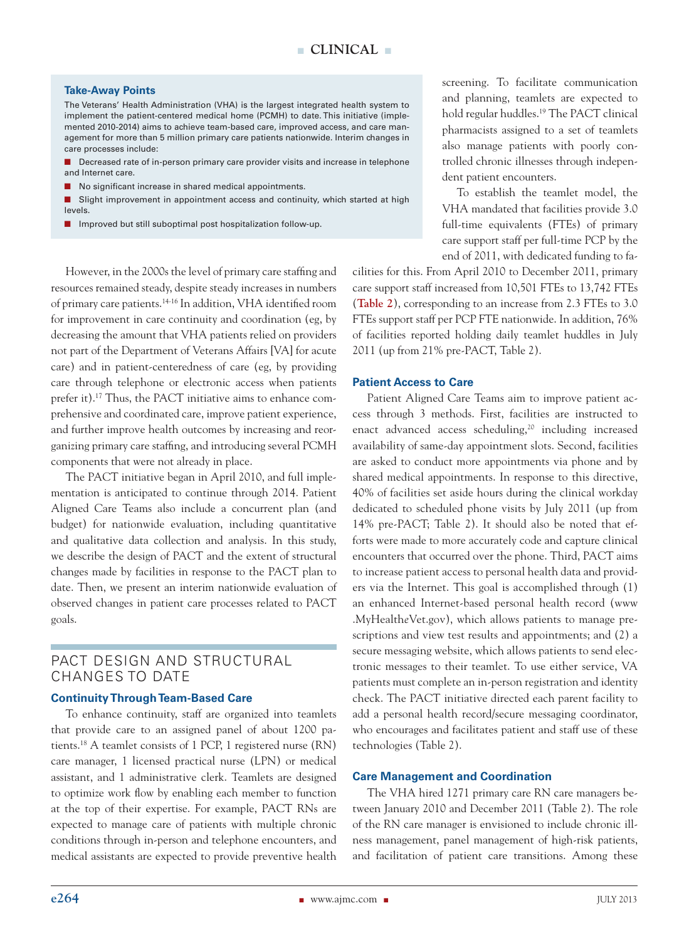#### **Take-Away Points**

The Veterans' Health Administration (VHA) is the largest integrated health system to implement the patient-centered medical home (PCMH) to date. This initiative (implemented 2010-2014) aims to achieve team-based care, improved access, and care management for more than 5 million primary care patients nationwide. Interim changes in care processes include:

- $\blacksquare$  Decreased rate of in-person primary care provider visits and increase in telephone and Internet care.
- $\blacksquare$  No significant increase in shared medical appointments.
- Slight improvement in appointment access and continuity, which started at high levels.
- $\blacksquare$  Improved but still suboptimal post hospitalization follow-up.

However, in the 2000s the level of primary care staffing and resources remained steady, despite steady increases in numbers of primary care patients.14-16 In addition, VHA identified room for improvement in care continuity and coordination (eg, by decreasing the amount that VHA patients relied on providers not part of the Department of Veterans Affairs [VA] for acute care) and in patient-centeredness of care (eg, by providing care through telephone or electronic access when patients prefer it).17 Thus, the PACT initiative aims to enhance comprehensive and coordinated care, improve patient experience, and further improve health outcomes by increasing and reorganizing primary care staffing, and introducing several PCMH components that were not already in place.

The PACT initiative began in April 2010, and full implementation is anticipated to continue through 2014. Patient Aligned Care Teams also include a concurrent plan (and budget) for nationwide evaluation, including quantitative and qualitative data collection and analysis. In this study, we describe the design of PACT and the extent of structural changes made by facilities in response to the PACT plan to date. Then, we present an interim nationwide evaluation of observed changes in patient care processes related to PACT goals.

## PACT DESIGN AND STRUCTURAL CHANGES TO DATE

#### **Continuity Through Team-Based Care**

To enhance continuity, staff are organized into teamlets that provide care to an assigned panel of about 1200 patients.18 A teamlet consists of 1 PCP, 1 registered nurse (RN) care manager, 1 licensed practical nurse (LPN) or medical assistant, and 1 administrative clerk. Teamlets are designed to optimize work flow by enabling each member to function at the top of their expertise. For example, PACT RNs are expected to manage care of patients with multiple chronic conditions through in-person and telephone encounters, and medical assistants are expected to provide preventive health screening. To facilitate communication and planning, teamlets are expected to hold regular huddles.<sup>19</sup> The PACT clinical pharmacists assigned to a set of teamlets also manage patients with poorly controlled chronic illnesses through independent patient encounters.

To establish the teamlet model, the VHA mandated that facilities provide 3.0 full-time equivalents (FTEs) of primary care support staff per full-time PCP by the end of 2011, with dedicated funding to fa-

cilities for this. From April 2010 to December 2011, primary care support staff increased from 10,501 FTEs to 13,742 FTEs (**Table 2**), corresponding to an increase from 2.3 FTEs to 3.0 FTEs support staff per PCP FTE nationwide. In addition, 76% of facilities reported holding daily teamlet huddles in July 2011 (up from 21% pre-PACT, Table 2).

#### **Patient Access to Care**

Patient Aligned Care Teams aim to improve patient access through 3 methods. First, facilities are instructed to enact advanced access scheduling,<sup>20</sup> including increased availability of same-day appointment slots. Second, facilities are asked to conduct more appointments via phone and by shared medical appointments. In response to this directive, 40% of facilities set aside hours during the clinical workday dedicated to scheduled phone visits by July 2011 (up from 14% pre-PACT; Table 2). It should also be noted that efforts were made to more accurately code and capture clinical encounters that occurred over the phone. Third, PACT aims to increase patient access to personal health data and providers via the Internet. This goal is accomplished through (1) an enhanced Internet-based personal health record (www .MyHealth*e*Vet.gov), which allows patients to manage prescriptions and view test results and appointments; and (2) a secure messaging website, which allows patients to send electronic messages to their teamlet. To use either service, VA patients must complete an in-person registration and identity check. The PACT initiative directed each parent facility to add a personal health record/secure messaging coordinator, who encourages and facilitates patient and staff use of these technologies (Table 2).

#### **Care Management and Coordination**

The VHA hired 1271 primary care RN care managers between January 2010 and December 2011 (Table 2). The role of the RN care manager is envisioned to include chronic illness management, panel management of high-risk patients, and facilitation of patient care transitions. Among these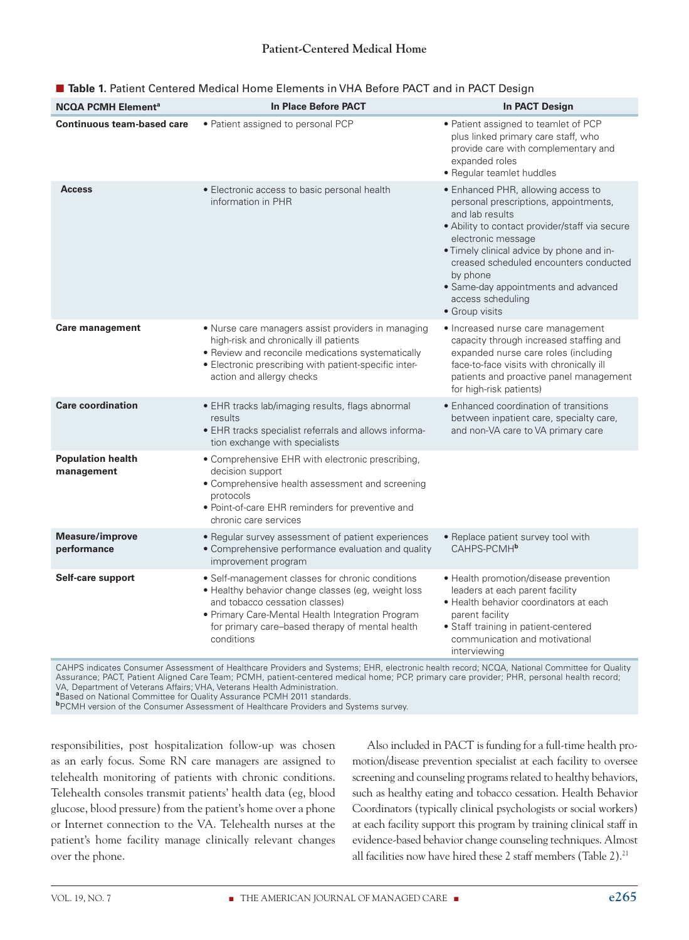| <b>NCQA PCMH Element<sup>a</sup></b>   | <b>In Place Before PACT</b>                                                                                                                                                                                                                                   | <b>In PACT Design</b>                                                                                                                                                                                                                                                                                                                                    |
|----------------------------------------|---------------------------------------------------------------------------------------------------------------------------------------------------------------------------------------------------------------------------------------------------------------|----------------------------------------------------------------------------------------------------------------------------------------------------------------------------------------------------------------------------------------------------------------------------------------------------------------------------------------------------------|
| <b>Continuous team-based care</b>      | • Patient assigned to personal PCP                                                                                                                                                                                                                            | • Patient assigned to teamlet of PCP<br>plus linked primary care staff, who<br>provide care with complementary and<br>expanded roles<br>• Regular teamlet huddles                                                                                                                                                                                        |
| <b>Access</b>                          | • Electronic access to basic personal health<br>information in PHR                                                                                                                                                                                            | • Enhanced PHR, allowing access to<br>personal prescriptions, appointments,<br>and lab results<br>· Ability to contact provider/staff via secure<br>electronic message<br>. Timely clinical advice by phone and in-<br>creased scheduled encounters conducted<br>by phone<br>• Same-day appointments and advanced<br>access scheduling<br>· Group visits |
| <b>Care management</b>                 | • Nurse care managers assist providers in managing<br>high-risk and chronically ill patients<br>· Review and reconcile medications systematically<br>• Electronic prescribing with patient-specific inter-<br>action and allergy checks                       | • Increased nurse care management<br>capacity through increased staffing and<br>expanded nurse care roles (including<br>face-to-face visits with chronically ill<br>patients and proactive panel management<br>for high-risk patients)                                                                                                                   |
| <b>Care coordination</b>               | • EHR tracks lab/imaging results, flags abnormal<br>results<br>• EHR tracks specialist referrals and allows informa-<br>tion exchange with specialists                                                                                                        | · Enhanced coordination of transitions<br>between inpatient care, specialty care,<br>and non-VA care to VA primary care                                                                                                                                                                                                                                  |
| <b>Population health</b><br>management | • Comprehensive EHR with electronic prescribing,<br>decision support<br>• Comprehensive health assessment and screening<br>protocols<br>· Point-of-care EHR reminders for preventive and<br>chronic care services                                             |                                                                                                                                                                                                                                                                                                                                                          |
| <b>Measure/improve</b><br>performance  | • Regular survey assessment of patient experiences<br>• Comprehensive performance evaluation and quality<br>improvement program                                                                                                                               | • Replace patient survey tool with<br>CAHPS-PCMH <sup>b</sup>                                                                                                                                                                                                                                                                                            |
| Self-care support                      | • Self-management classes for chronic conditions<br>· Healthy behavior change classes (eg, weight loss<br>and tobacco cessation classes)<br>· Primary Care-Mental Health Integration Program<br>for primary care-based therapy of mental health<br>conditions | • Health promotion/disease prevention<br>leaders at each parent facility<br>• Health behavior coordinators at each<br>parent facility<br>• Staff training in patient-centered<br>communication and motivational<br>interviewing                                                                                                                          |

## **Table 1.** Patient Centered Medical Home Elements in VHA Before PACT and in PACT Design

CAHPS indicates Consumer Assessment of Healthcare Providers and Systems; EHR, electronic health record; NCQA, National Committee for Quality Assurance; PACT, Patient Aligned Care Team; PCMH, patient-centered medical home; PCP, primary care provider; PHR, personal health record; VA, Department of Veterans Affairs; VHA, Veterans Health Administration. **<sup>a</sup>**Based on National Committee for Quality Assurance PCMH 2011 standards.

**b**PCMH version of the Consumer Assessment of Healthcare Providers and Systems survey.

responsibilities, post hospitalization follow-up was chosen as an early focus. Some RN care managers are assigned to telehealth monitoring of patients with chronic conditions. Telehealth consoles transmit patients' health data (eg, blood glucose, blood pressure) from the patient's home over a phone or Internet connection to the VA. Telehealth nurses at the patient's home facility manage clinically relevant changes over the phone.

Also included in PACT is funding for a full-time health promotion/disease prevention specialist at each facility to oversee screening and counseling programs related to healthy behaviors, such as healthy eating and tobacco cessation. Health Behavior Coordinators (typically clinical psychologists or social workers) at each facility support this program by training clinical staff in evidence-based behavior change counseling techniques. Almost all facilities now have hired these 2 staff members (Table 2).<sup>21</sup>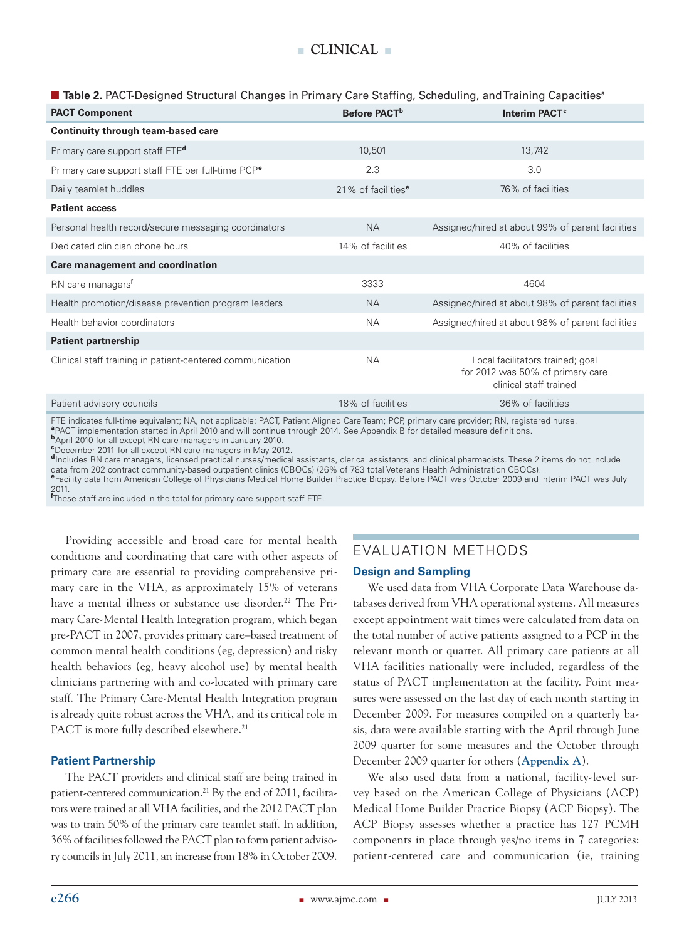#### n **Table 2.** PACT-Designed Structural Changes in Primary Care Staffing, Scheduling, and Training Capacities**<sup>a</sup>**

| <b>PACT Component</b>                                         | Before PACT <sup>b</sup>       | Interim PACT <sup>c</sup>                                                                      |
|---------------------------------------------------------------|--------------------------------|------------------------------------------------------------------------------------------------|
| Continuity through team-based care                            |                                |                                                                                                |
| Primary care support staff FTE <sup>d</sup>                   | 10,501                         | 13,742                                                                                         |
| Primary care support staff FTE per full-time PCP <sup>e</sup> | 2.3                            | 3.0                                                                                            |
| Daily teamlet huddles                                         | 21% of facilities <sup>e</sup> | 76% of facilities                                                                              |
| <b>Patient access</b>                                         |                                |                                                                                                |
| Personal health record/secure messaging coordinators          | <b>NA</b>                      | Assigned/hired at about 99% of parent facilities                                               |
| Dedicated clinician phone hours                               | 14% of facilities              | 40% of facilities                                                                              |
| Care management and coordination                              |                                |                                                                                                |
| RN care managers <sup>f</sup>                                 | 3333                           | 4604                                                                                           |
| Health promotion/disease prevention program leaders           | <b>NA</b>                      | Assigned/hired at about 98% of parent facilities                                               |
| Health behavior coordinators                                  | <b>NA</b>                      | Assigned/hired at about 98% of parent facilities                                               |
| <b>Patient partnership</b>                                    |                                |                                                                                                |
| Clinical staff training in patient-centered communication     | <b>NA</b>                      | Local facilitators trained; goal<br>for 2012 was 50% of primary care<br>clinical staff trained |
| Patient advisory councils                                     | 18% of facilities              | 36% of facilities                                                                              |

FTE indicates full-time equivalent; NA, not applicable; PACT, Patient Aligned Care Team; PCP, primary care provider; RN, registered nurse. **<sup>a</sup>**PACT implementation started in April 2010 and will continue through 2014. See Appendix B for detailed measure definitions.

**<sup>b</sup>**April 2010 for all except RN care managers in January 2010. **c** December 2011 for all except RN care managers in May 2012.

**<sup>d</sup>**Includes RN care managers, licensed practical nurses/medical assistants, clerical assistants, and clinical pharmacists. These 2 items do not include data from 202 contract community-based outpatient clinics (CBOCs) (26% of 783 total Veterans Health Administration CBOCs).<br><sup>e</sup>Facility data from American College of Physicians Medical Home Builder Practice Biopsy. Before P 2011.

**f** These staff are included in the total for primary care support staff FTE.

Providing accessible and broad care for mental health conditions and coordinating that care with other aspects of primary care are essential to providing comprehensive primary care in the VHA, as approximately 15% of veterans have a mental illness or substance use disorder.<sup>22</sup> The Primary Care-Mental Health Integration program, which began pre-PACT in 2007, provides primary care–based treatment of common mental health conditions (eg, depression) and risky health behaviors (eg, heavy alcohol use) by mental health clinicians partnering with and co-located with primary care staff. The Primary Care-Mental Health Integration program is already quite robust across the VHA, and its critical role in PACT is more fully described elsewhere.<sup>21</sup>

## **Patient Partnership**

The PACT providers and clinical staff are being trained in patient-centered communication.<sup>21</sup> By the end of 2011, facilitators were trained at all VHA facilities, and the 2012 PACT plan was to train 50% of the primary care teamlet staff. In addition, 36% of facilities followed the PACT plan to form patient advisory councils in July 2011, an increase from 18% in October 2009.

## EVALUATION METHODS

#### **Design and Sampling**

We used data from VHA Corporate Data Warehouse databases derived from VHA operational systems. All measures except appointment wait times were calculated from data on the total number of active patients assigned to a PCP in the relevant month or quarter. All primary care patients at all VHA facilities nationally were included, regardless of the status of PACT implementation at the facility. Point measures were assessed on the last day of each month starting in December 2009. For measures compiled on a quarterly basis, data were available starting with the April through June 2009 quarter for some measures and the October through December 2009 quarter for others (**Appendix A**).

We also used data from a national, facility-level survey based on the American College of Physicians (ACP) Medical Home Builder Practice Biopsy (ACP Biopsy). The ACP Biopsy assesses whether a practice has 127 PCMH components in place through yes/no items in 7 categories: patient-centered care and communication (ie, training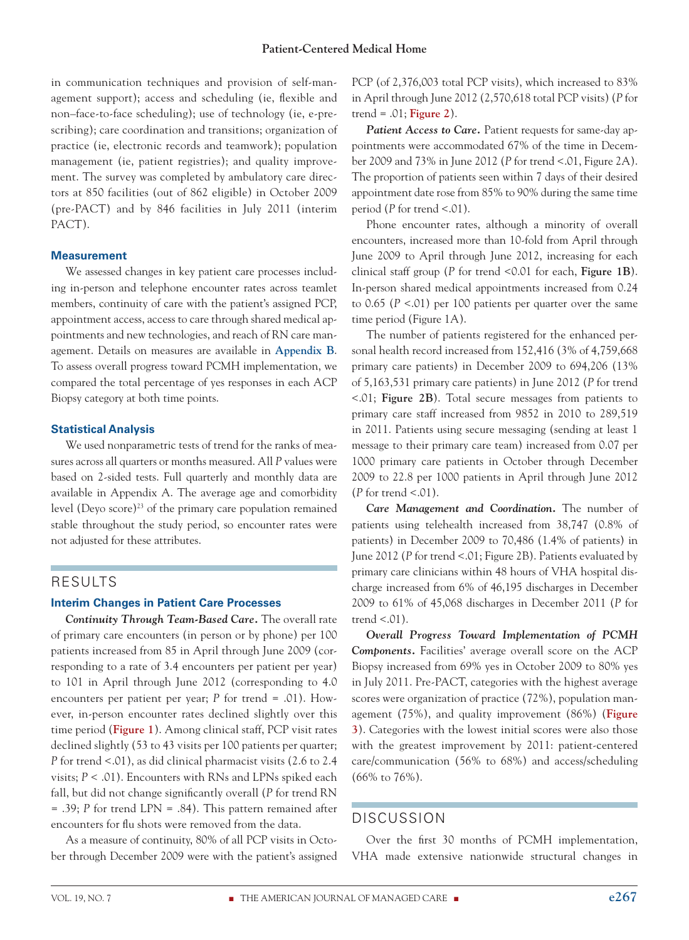in communication techniques and provision of self-management support); access and scheduling (ie, flexible and non–face-to-face scheduling); use of technology (ie, e-prescribing); care coordination and transitions; organization of practice (ie, electronic records and teamwork); population management (ie, patient registries); and quality improvement. The survey was completed by ambulatory care directors at 850 facilities (out of 862 eligible) in October 2009 (pre-PACT) and by 846 facilities in July 2011 (interim PACT).

## **Measurement**

We assessed changes in key patient care processes including in-person and telephone encounter rates across teamlet members, continuity of care with the patient's assigned PCP, appointment access, access to care through shared medical appointments and new technologies, and reach of RN care management. Details on measures are available in **Appendix B**. To assess overall progress toward PCMH implementation, we compared the total percentage of yes responses in each ACP Biopsy category at both time points.

## **Statistical Analysis**

We used nonparametric tests of trend for the ranks of measures across all quarters or months measured. All *P* values were based on 2-sided tests. Full quarterly and monthly data are available in Appendix A. The average age and comorbidity level (Deyo score)23 of the primary care population remained stable throughout the study period, so encounter rates were not adjusted for these attributes.

## RESULTS

## **Interim Changes in Patient Care Processes**

*Continuity Through Team-Based Care.* The overall rate of primary care encounters (in person or by phone) per 100 patients increased from 85 in April through June 2009 (corresponding to a rate of 3.4 encounters per patient per year) to 101 in April through June 2012 (corresponding to 4.0 encounters per patient per year; *P* for trend = .01). However, in-person encounter rates declined slightly over this time period (**Figure 1**). Among clinical staff, PCP visit rates declined slightly (53 to 43 visits per 100 patients per quarter; *P* for trend <.01), as did clinical pharmacist visits (2.6 to 2.4 visits; *P* < .01). Encounters with RNs and LPNs spiked each fall, but did not change significantly overall (*P* for trend RN = .39; *P* for trend LPN = .84). This pattern remained after encounters for flu shots were removed from the data.

As a measure of continuity, 80% of all PCP visits in October through December 2009 were with the patient's assigned PCP (of 2,376,003 total PCP visits), which increased to 83% in April through June 2012 (2,570,618 total PCP visits) (*P* for trend = .01; **Figure 2**).

**Patient Access to Care.** Patient requests for same-day appointments were accommodated 67% of the time in December 2009 and 73% in June 2012 (*P* for trend <.01, Figure 2A). The proportion of patients seen within 7 days of their desired appointment date rose from 85% to 90% during the same time period (*P* for trend <.01).

Phone encounter rates, although a minority of overall encounters, increased more than 10-fold from April through June 2009 to April through June 2012, increasing for each clinical staff group (*P* for trend <0.01 for each, **Figure 1B**). In-person shared medical appointments increased from 0.24 to 0.65 (*P* <.01) per 100 patients per quarter over the same time period (Figure 1A).

The number of patients registered for the enhanced personal health record increased from 152,416 (3% of 4,759,668 primary care patients) in December 2009 to 694,206 (13% of 5,163,531 primary care patients) in June 2012 (*P* for trend <.01; **Figure 2B**). Total secure messages from patients to primary care staff increased from 9852 in 2010 to 289,519 in 2011. Patients using secure messaging (sending at least 1 message to their primary care team) increased from 0.07 per 1000 primary care patients in October through December 2009 to 22.8 per 1000 patients in April through June 2012 (*P* for trend <.01).

*Care Management and Coordination.* The number of patients using telehealth increased from 38,747 (0.8% of patients) in December 2009 to 70,486 (1.4% of patients) in June 2012 (*P* for trend <.01; Figure 2B). Patients evaluated by primary care clinicians within 48 hours of VHA hospital discharge increased from 6% of 46,195 discharges in December 2009 to 61% of 45,068 discharges in December 2011 (*P* for trend  $< 01$ ).

*Overall Progress Toward Implementation of PCMH Components.* Facilities' average overall score on the ACP Biopsy increased from 69% yes in October 2009 to 80% yes in July 2011. Pre-PACT, categories with the highest average scores were organization of practice (72%), population management (75%), and quality improvement (86%) (**Figure 3**). Categories with the lowest initial scores were also those with the greatest improvement by 2011: patient-centered care/communication (56% to 68%) and access/scheduling (66% to 76%).

## DISCUSSION

Over the first 30 months of PCMH implementation, VHA made extensive nationwide structural changes in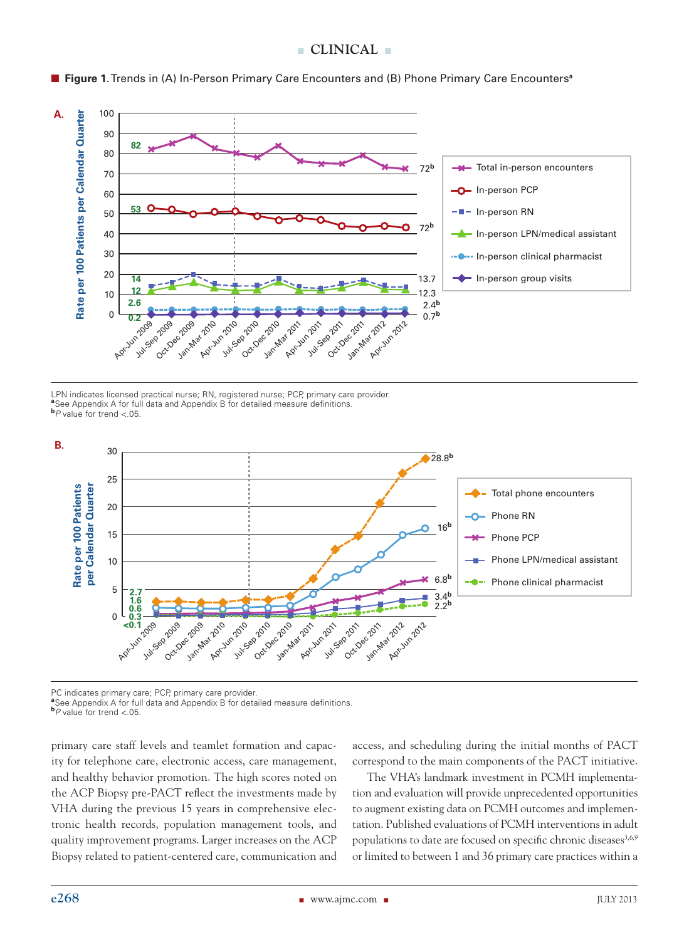## **n clinical** n



■ Figure 1. Trends in (A) In-Person Primary Care Encounters and (B) Phone Primary Care Encounters<sup>a</sup>

LPN indicates licensed practical nurse; RN, registered nurse; PCP, primary care provider.<br><sup>a</sup>See Appendix A for full data and Appendix B for detailed measure definitions. **<sup>b</sup>***P* value for trend <.05.



PC indicates primary care; PCP, primary care provider.

**PC** indicates primary care; PCP, primary care provider.<br><sup>a</sup>See Appendix A for full data and Appendix B for detailed measure definitions.

**<sup>b</sup>***P* value for trend <.05.

primary care staff levels and teamlet formation and capacity for telephone care, electronic access, care management, and healthy behavior promotion. The high scores noted on the ACP Biopsy pre-PACT reflect the investments made by VHA during the previous 15 years in comprehensive electronic health records, population management tools, and quality improvement programs. Larger increases on the ACP Biopsy related to patient-centered care, communication and access, and scheduling during the initial months of PACT correspond to the main components of the PACT initiative.

The VHA's landmark investment in PCMH implementation and evaluation will provide unprecedented opportunities to augment existing data on PCMH outcomes and implementation. Published evaluations of PCMH interventions in adult populations to date are focused on specific chronic diseases<sup>3,6,9</sup> or limited to between 1 and 36 primary care practices within a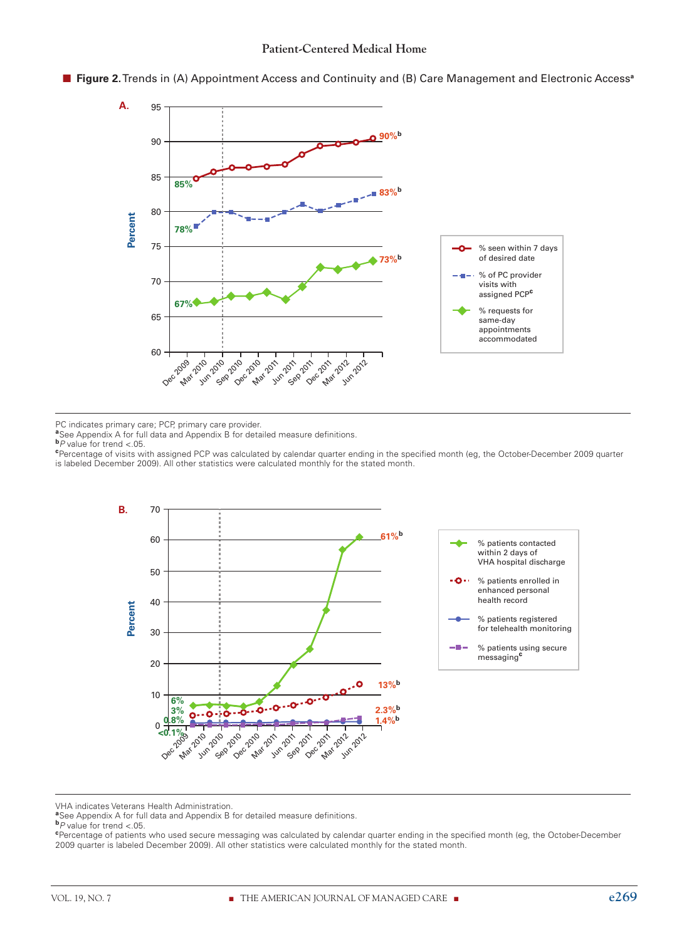

n **Figure 2.** Trends in (A) Appointment Access and Continuity and (B) Care Management and Electronic Access**<sup>a</sup>**

PC indicates primary care; PCP, primary care provider.

**a** See Appendix A for full data and Appendix B for detailed measure definitions.

Percentage of visits with assigned PCP was calculated by calendar quarter ending in the specified month (eg, the October-December 2009 quarter is labeled December 2009). All other statistics were calculated monthly for the stated month.



VHA indicates Veterans Health Administration.

**<sup>a</sup>**See Appendix A for full data and Appendix B for detailed measure definitions.

Percentage of patients who used secure messaging was calculated by calendar quarter ending in the specified month (eg, the October-December 2009 quarter is labeled December 2009). All other statistics were calculated monthly for the stated month.

 $\mathbf{b}$ *P* value for trend <.05.

 $\mathbf{b}$ *P* value for trend <.05.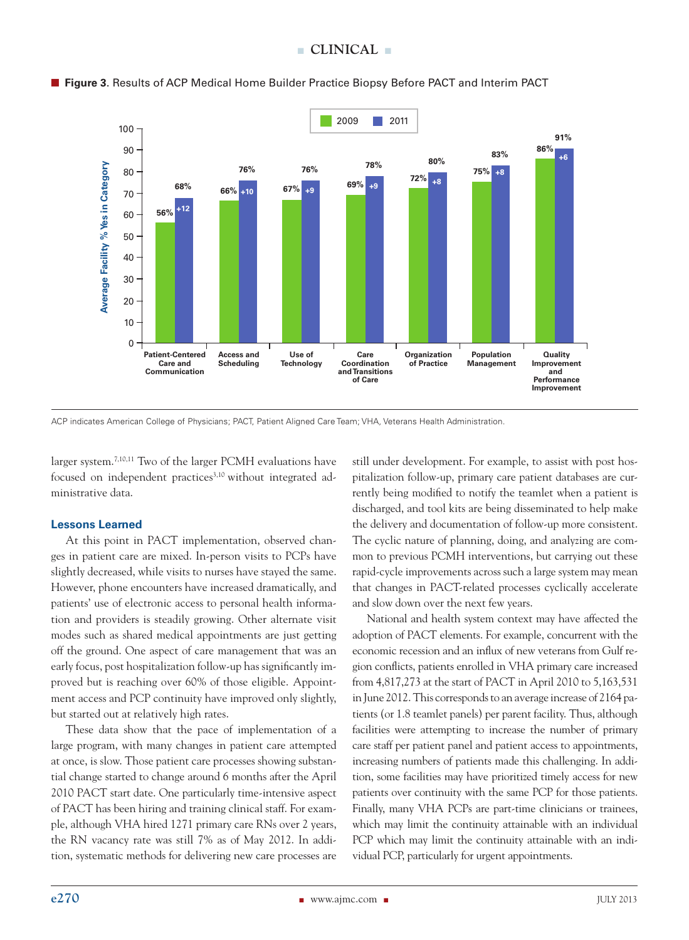

## **Figure 3**. Results of ACP Medical Home Builder Practice Biopsy Before PACT and Interim PACT

ACP indicates American College of Physicians; PACT, Patient Aligned Care Team; VHA, Veterans Health Administration.

larger system.7,10,11 Two of the larger PCMH evaluations have focused on independent practices<sup>3,10</sup> without integrated administrative data.

## **Lessons Learned**

At this point in PACT implementation, observed changes in patient care are mixed. In-person visits to PCPs have slightly decreased, while visits to nurses have stayed the same. However, phone encounters have increased dramatically, and patients' use of electronic access to personal health information and providers is steadily growing. Other alternate visit modes such as shared medical appointments are just getting off the ground. One aspect of care management that was an early focus, post hospitalization follow-up has significantly improved but is reaching over 60% of those eligible. Appointment access and PCP continuity have improved only slightly, but started out at relatively high rates.

These data show that the pace of implementation of a large program, with many changes in patient care attempted at once, is slow. Those patient care processes showing substantial change started to change around 6 months after the April 2010 PACT start date. One particularly time-intensive aspect of PACT has been hiring and training clinical staff. For example, although VHA hired 1271 primary care RNs over 2 years, the RN vacancy rate was still 7% as of May 2012. In addition, systematic methods for delivering new care processes are still under development. For example, to assist with post hospitalization follow-up, primary care patient databases are currently being modified to notify the teamlet when a patient is discharged, and tool kits are being disseminated to help make the delivery and documentation of follow-up more consistent. The cyclic nature of planning, doing, and analyzing are common to previous PCMH interventions, but carrying out these rapid-cycle improvements across such a large system may mean that changes in PACT-related processes cyclically accelerate and slow down over the next few years.

National and health system context may have affected the adoption of PACT elements. For example, concurrent with the economic recession and an influx of new veterans from Gulf region conflicts, patients enrolled in VHA primary care increased from 4,817,273 at the start of PACT in April 2010 to 5,163,531 in June 2012. This corresponds to an average increase of 2164 patients (or 1.8 teamlet panels) per parent facility. Thus, although facilities were attempting to increase the number of primary care staff per patient panel and patient access to appointments, increasing numbers of patients made this challenging. In addition, some facilities may have prioritized timely access for new patients over continuity with the same PCP for those patients. Finally, many VHA PCPs are part-time clinicians or trainees, which may limit the continuity attainable with an individual PCP which may limit the continuity attainable with an individual PCP, particularly for urgent appointments.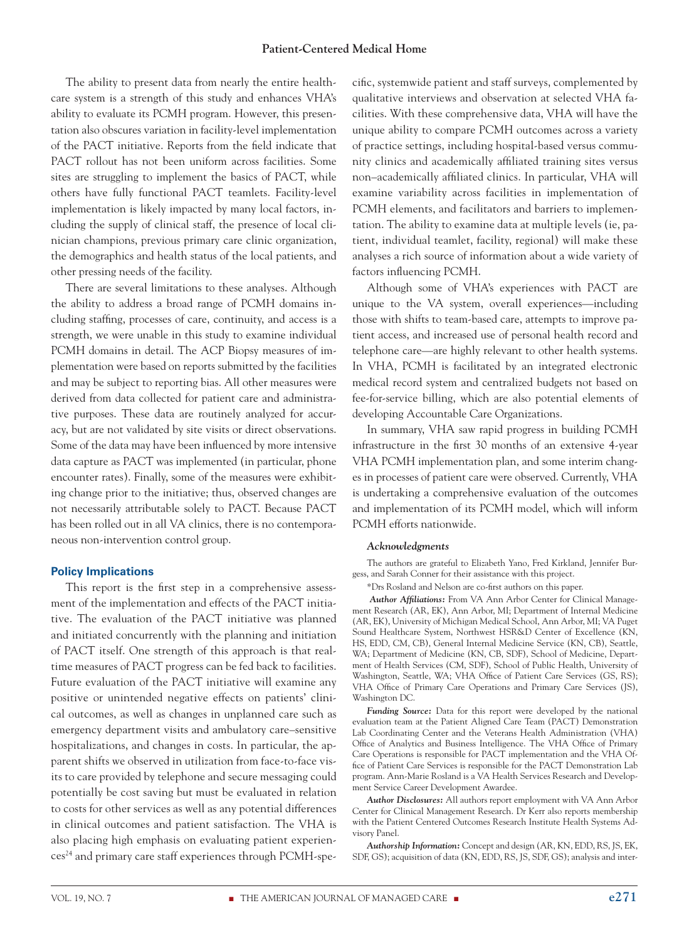#### **Patient-Centered Medical Home**

The ability to present data from nearly the entire healthcare system is a strength of this study and enhances VHA's ability to evaluate its PCMH program. However, this presentation also obscures variation in facility-level implementation of the PACT initiative. Reports from the field indicate that PACT rollout has not been uniform across facilities. Some sites are struggling to implement the basics of PACT, while others have fully functional PACT teamlets. Facility-level implementation is likely impacted by many local factors, including the supply of clinical staff, the presence of local clinician champions, previous primary care clinic organization, the demographics and health status of the local patients, and other pressing needs of the facility.

There are several limitations to these analyses. Although the ability to address a broad range of PCMH domains including staffing, processes of care, continuity, and access is a strength, we were unable in this study to examine individual PCMH domains in detail. The ACP Biopsy measures of implementation were based on reports submitted by the facilities and may be subject to reporting bias. All other measures were derived from data collected for patient care and administrative purposes. These data are routinely analyzed for accuracy, but are not validated by site visits or direct observations. Some of the data may have been influenced by more intensive data capture as PACT was implemented (in particular, phone encounter rates). Finally, some of the measures were exhibiting change prior to the initiative; thus, observed changes are not necessarily attributable solely to PACT. Because PACT has been rolled out in all VA clinics, there is no contemporaneous non-intervention control group.

#### **Policy Implications**

This report is the first step in a comprehensive assessment of the implementation and effects of the PACT initiative. The evaluation of the PACT initiative was planned and initiated concurrently with the planning and initiation of PACT itself. One strength of this approach is that realtime measures of PACT progress can be fed back to facilities. Future evaluation of the PACT initiative will examine any positive or unintended negative effects on patients' clinical outcomes, as well as changes in unplanned care such as emergency department visits and ambulatory care–sensitive hospitalizations, and changes in costs. In particular, the apparent shifts we observed in utilization from face-to-face visits to care provided by telephone and secure messaging could potentially be cost saving but must be evaluated in relation to costs for other services as well as any potential differences in clinical outcomes and patient satisfaction. The VHA is also placing high emphasis on evaluating patient experiences24 and primary care staff experiences through PCMH-specific, systemwide patient and staff surveys, complemented by qualitative interviews and observation at selected VHA facilities. With these comprehensive data, VHA will have the unique ability to compare PCMH outcomes across a variety of practice settings, including hospital-based versus community clinics and academically affiliated training sites versus non–academically affiliated clinics. In particular, VHA will examine variability across facilities in implementation of PCMH elements, and facilitators and barriers to implementation. The ability to examine data at multiple levels (ie, patient, individual teamlet, facility, regional) will make these analyses a rich source of information about a wide variety of factors influencing PCMH.

Although some of VHA's experiences with PACT are unique to the VA system, overall experiences—including those with shifts to team-based care, attempts to improve patient access, and increased use of personal health record and telephone care—are highly relevant to other health systems. In VHA, PCMH is facilitated by an integrated electronic medical record system and centralized budgets not based on fee-for-service billing, which are also potential elements of developing Accountable Care Organizations.

In summary, VHA saw rapid progress in building PCMH infrastructure in the first 30 months of an extensive 4-year VHA PCMH implementation plan, and some interim changes in processes of patient care were observed. Currently, VHA is undertaking a comprehensive evaluation of the outcomes and implementation of its PCMH model, which will inform PCMH efforts nationwide.

#### *Acknowledgments*

The authors are grateful to Elizabeth Yano, Fred Kirkland, Jennifer Burgess, and Sarah Conner for their assistance with this project.

\*Drs Rosland and Nelson are co-first authors on this paper.

*Author Affiliations:* From VA Ann Arbor Center for Clinical Management Research (AR, EK), Ann Arbor, MI; Department of Internal Medicine (AR, EK), University of Michigan Medical School, Ann Arbor, MI; VA Puget Sound Healthcare System, Northwest HSR&D Center of Excellence (KN, HS, EDD, CM, CB), General Internal Medicine Service (KN, CB), Seattle, WA; Department of Medicine (KN, CB, SDF), School of Medicine, Department of Health Services (CM, SDF), School of Public Health, University of Washington, Seattle, WA; VHA Office of Patient Care Services (GS, RS); VHA Office of Primary Care Operations and Primary Care Services (JS), Washington DC.

*Funding Source:* Data for this report were developed by the national evaluation team at the Patient Aligned Care Team (PACT) Demonstration Lab Coordinating Center and the Veterans Health Administration (VHA) Office of Analytics and Business Intelligence. The VHA Office of Primary Care Operations is responsible for PACT implementation and the VHA Office of Patient Care Services is responsible for the PACT Demonstration Lab program. Ann-Marie Rosland is a VA Health Services Research and Development Service Career Development Awardee.

*Author Disclosures:* All authors report employment with VA Ann Arbor Center for Clinical Management Research. Dr Kerr also reports membership with the Patient Centered Outcomes Research Institute Health Systems Advisory Panel.

*Authorship Information:* Concept and design (AR, KN, EDD, RS, JS, EK, SDF, GS); acquisition of data (KN, EDD, RS, JS, SDF, GS); analysis and inter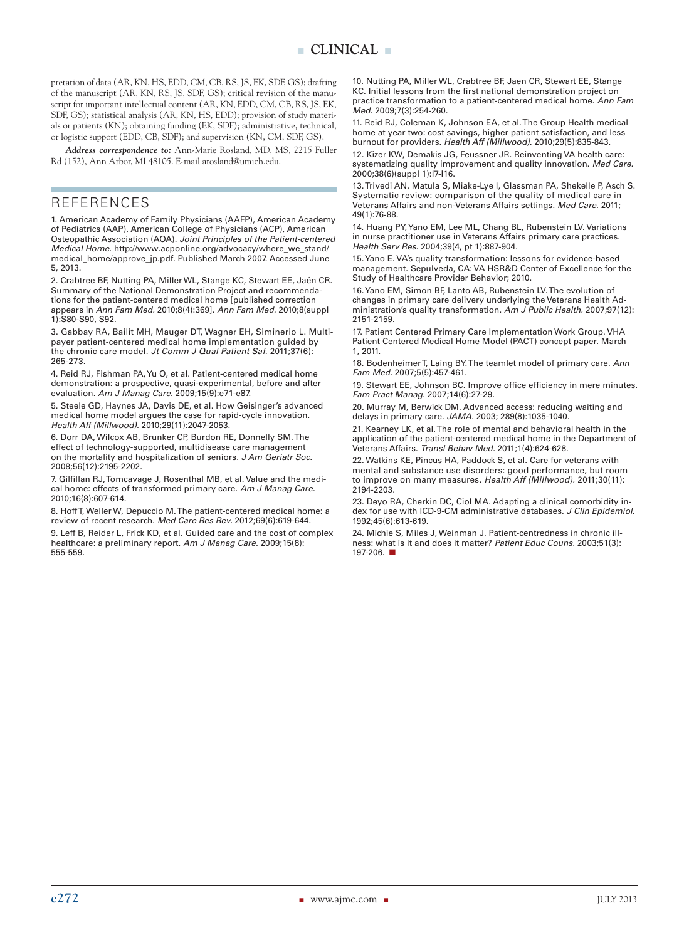pretation of data (AR, KN, HS, EDD, CM, CB, RS, JS, EK, SDF, GS); drafting of the manuscript (AR, KN, RS, JS, SDF, GS); critical revision of the manuscript for important intellectual content (AR, KN, EDD, CM, CB, RS, JS, EK, SDF, GS); statistical analysis (AR, KN, HS, EDD); provision of study materials or patients (KN); obtaining funding (EK, SDF); administrative, technical, or logistic support (EDD, CB, SDF); and supervision (KN, CM, SDF, GS).

*Address correspondence to:* Ann-Marie Rosland, MD, MS, 2215 Fuller Rd (152), Ann Arbor, MI 48105. E-mail arosland@umich.edu.

## REFERENCES

1. American Academy of Family Physicians (AAFP), American Academy of Pediatrics (AAP), American College of Physicians (ACP), American Osteopathic Association (AOA). *Joint Principles of the Patient-centered Medical Home*. http://www.acponline.org/advocacy/where\_we\_stand/ medical\_home/approve\_jp.pdf. Published March 2007. Accessed June 5, 2013.

2. Crabtree BF, Nutting PA, Miller WL, Stange KC, Stewart EE, Jaén CR. Summary of the National Demonstration Project and recommendations for the patient-centered medical home [published correction appears in *Ann Fam Med.* 2010;8(4):369]. *Ann Fam Med.* 2010;8(suppl 1):S80-S90, S92.

3. Gabbay RA, Bailit MH, Mauger DT, Wagner EH, Siminerio L. Multipayer patient-centered medical home implementation guided by the chronic care model. *Jt Comm J Qual Patient Saf.* 2011;37(6): 265-273.

4. Reid RJ, Fishman PA, Yu O, et al. Patient-centered medical home demonstration: a prospective, quasi-experimental, before and after evaluation. *Am J Manag Care.* 2009;15(9):e71-e87.

5. Steele GD, Haynes JA, Davis DE, et al. How Geisinger's advanced medical home model argues the case for rapid-cycle innovation. *Health Aff (Millwood).* 2010;29(11):2047-2053.

6. Dorr DA, Wilcox AB, Brunker CP, Burdon RE, Donnelly SM. The effect of technology-supported, multidisease care management on the mortality and hospitalization of seniors. *J Am Geriatr Soc.* 2008;56(12):2195-2202.

7. Gilfillan RJ, Tomcavage J, Rosenthal MB, et al. Value and the medical home: effects of transformed primary care. *Am J Manag Care.* 2010;16(8):607-614.

8. Hoff T, Weller W, Depuccio M. The patient-centered medical home: a review of recent research. *Med Care Res Rev.* 2012;69(6):619-644.

9. Leff B, Reider L, Frick KD, et al. Guided care and the cost of complex healthcare: a preliminary report. *Am J Manag Care.* 2009;15(8): 555-559.

10. Nutting PA, Miller WL, Crabtree BF, Jaen CR, Stewart EE, Stange KC. Initial lessons from the first national demonstration project on practice transformation to a patient-centered medical home. *Ann Fam Med.* 2009;7(3):254-260.

11. Reid RJ, Coleman K, Johnson EA, et al. The Group Health medical home at year two: cost savings, higher patient satisfaction, and less burnout for providers. *Health Aff (Millwood).* 2010;29(5):835-843.

12. Kizer KW, Demakis JG, Feussner JR. Reinventing VA health care: systematizing quality improvement and quality innovation. *Med Care.* 2000;38(6)(suppl 1):I7-I16.

13. Trivedi AN, Matula S, Miake-Lye I, Glassman PA, Shekelle P, Asch S. Systematic review: comparison of the quality of medical care in Veterans Affairs and non-Veterans Affairs settings. *Med Care.* 2011; 49(1):76-88.

14. Huang PY, Yano EM, Lee ML, Chang BL, Rubenstein LV. Variations in nurse practitioner use in Veterans Affairs primary care practices. *Health Serv Res.* 2004;39(4, pt 1):887-904.

15. Yano E. VA's quality transformation: lessons for evidence-based management. Sepulveda, CA: VA HSR&D Center of Excellence for the Study of Healthcare Provider Behavior; 2010.

16. Yano EM, Simon BF, Lanto AB, Rubenstein LV. The evolution of changes in primary care delivery underlying the Veterans Health Administration's quality transformation. *Am J Public Health.* 2007;97(12): 2151-2159.

17. Patient Centered Primary Care Implementation Work Group. VHA Patient Centered Medical Home Model (PACT) concept paper. March 1, 2011.

18. Bodenheimer T, Laing BY. The teamlet model of primary care. *Ann Fam Med.* 2007;5(5):457-461.

19. Stewart EE, Johnson BC. Improve office efficiency in mere minutes*. Fam Pract Manag.* 2007;14(6):27-29.

20. Murray M, Berwick DM. Advanced access: reducing waiting and delays in primary care. *JAMA.* 2003; 289(8):1035-1040.

21. Kearney LK, et al. The role of mental and behavioral health in the application of the patient-centered medical home in the Department of Veterans Affairs. *Transl Behav Med.* 2011;1(4):624-628.

22. Watkins KE, Pincus HA, Paddock S, et al. Care for veterans with mental and substance use disorders: good performance, but room to improve on many measures. *Health Aff (Millwood).* 2011;30(11): 2194-2203.

23. Deyo RA, Cherkin DC, Ciol MA. Adapting a clinical comorbidity index for use with ICD-9-CM administrative databases. *J Clin Epidemiol.* 1992;45(6):613-619.

24. Michie S, Miles J, Weinman J. Patient-centredness in chronic illness: what is it and does it matter? *Patient Educ Couns.* 2003;51(3): 197-206.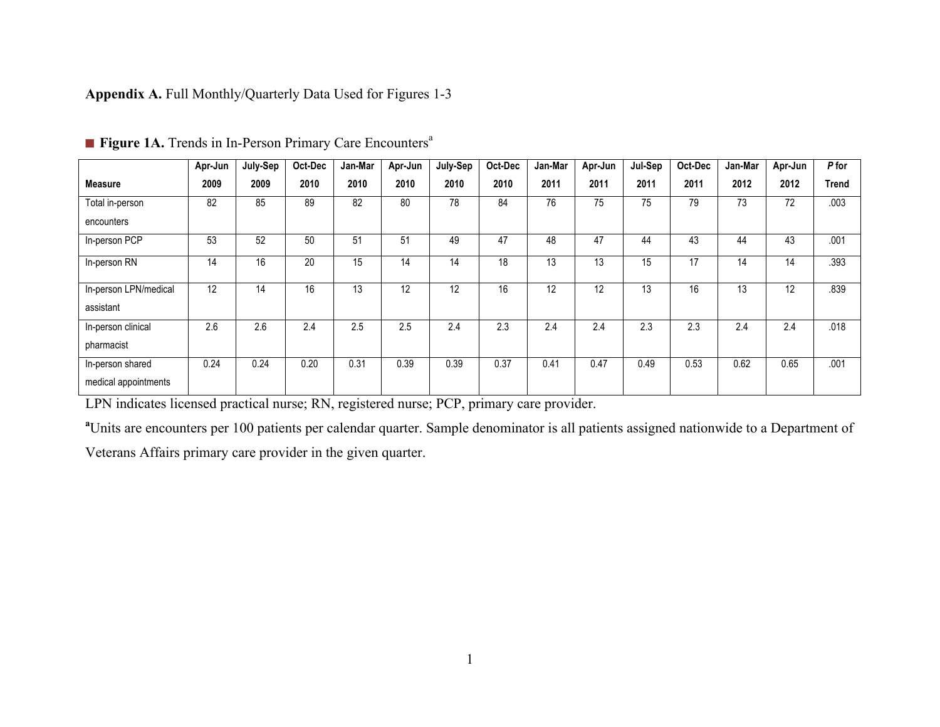**Appendix A.** Full Monthly/Quarterly Data Used for Figures 1-3

|                           | Apr-Jun | July-Sep | Oct-Dec         | Jan-Mar | Apr-Jun | July-Sep | Oct-Dec | Jan-Mar | Apr-Jun | Jul-Sep | Oct-Dec | Jan-Mar | Apr-Jun         | P for |
|---------------------------|---------|----------|-----------------|---------|---------|----------|---------|---------|---------|---------|---------|---------|-----------------|-------|
| <b>Measure</b>            | 2009    | 2009     | 2010            | 2010    | 2010    | 2010     | 2010    | 2011    | 2011    | 2011    | 2011    | 2012    | 2012            | Trend |
| Total in-person           | 82      | 85       | 89              | 82      | 80      | 78       | 84      | 76      | 75      | 75      | 79      | 73      | 72              | .003  |
| encounters                |         |          |                 |         |         |          |         |         |         |         |         |         |                 |       |
| In-person PCP             | 53      | 52       | 50              | 51      | 51      | 49       | 47      | 48      | 47      | 44      | 43      | 44      | 43              | .001  |
| In-person $R\overline{N}$ | 14      | 16       | $\overline{20}$ | 15      | 14      | 14       | 18      | 13      | 13      | 15      | 17      | 14      | $1\overline{4}$ | .393  |
| In-person LPN/medical     | 12      | 14       | 16              | 13      | 12      | 12       | 16      | 12      | 12      | 13      | 16      | 13      | 12              | .839  |
| assistant                 |         |          |                 |         |         |          |         |         |         |         |         |         |                 |       |
| In-person clinical        | 2.6     | 2.6      | 2.4             | 2.5     | 2.5     | 2.4      | 2.3     | 2.4     | 2.4     | 2.3     | 2.3     | 2.4     | 2.4             | .018  |
| pharmacist                |         |          |                 |         |         |          |         |         |         |         |         |         |                 |       |
| In-person shared          | 0.24    | 0.24     | 0.20            | 0.31    | 0.39    | 0.39     | 0.37    | 0.41    | 0.47    | 0.49    | 0.53    | 0.62    | 0.65            | .001  |
| medical appointments      |         |          |                 |         |         |          |         |         |         |         |         |         |                 |       |

**Figure 1A.** Trends in In-Person Primary Care Encounters<sup>a</sup>

LPN indicates licensed practical nurse; RN, registered nurse; PCP, primary care provider.

<sup>a</sup>Units are encounters per 100 patients per calendar quarter. Sample denominator is all patients assigned nationwide to a Department of

Veterans Affairs primary care provider in the given quarter.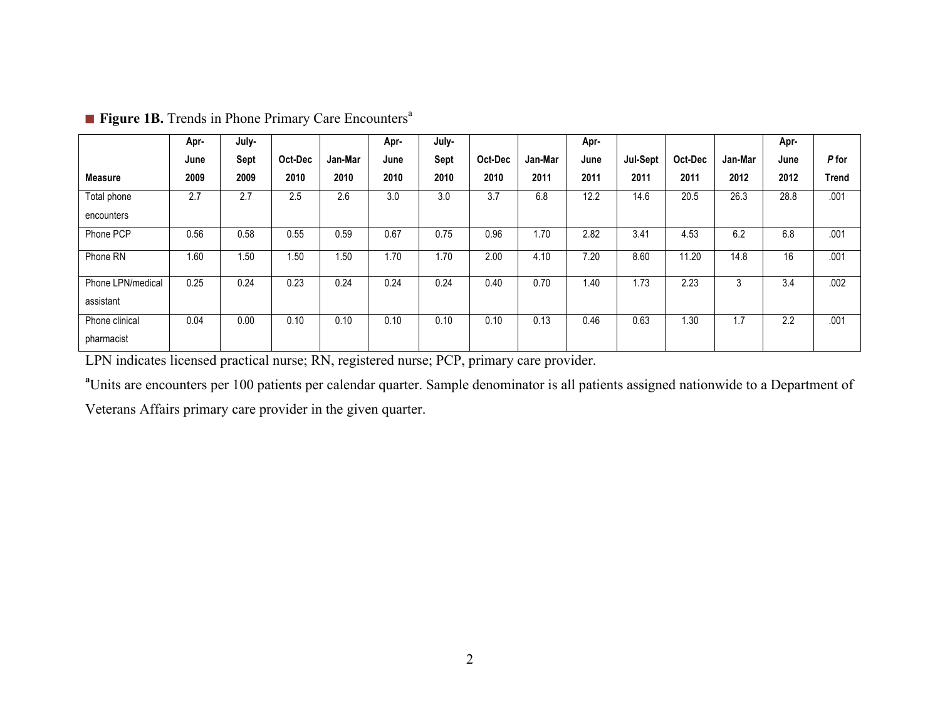|                   | Apr- | July- |         |         | Apr- | July- |         |         | Apr- |          |         |         | Apr- |              |
|-------------------|------|-------|---------|---------|------|-------|---------|---------|------|----------|---------|---------|------|--------------|
|                   | June | Sept  | Oct-Dec | Jan-Mar | June | Sept  | Oct-Dec | Jan-Mar | June | Jul-Sept | Oct-Dec | Jan-Mar | June | P for        |
| <b>Measure</b>    | 2009 | 2009  | 2010    | 2010    | 2010 | 2010  | 2010    | 2011    | 2011 | 2011     | 2011    | 2012    | 2012 | <b>Trend</b> |
| Total phone       | 2.7  | 2.7   | 2.5     | 2.6     | 3.0  | 3.0   | 3.7     | 6.8     | 12.2 | 14.6     | 20.5    | 26.3    | 28.8 | .001         |
| encounters        |      |       |         |         |      |       |         |         |      |          |         |         |      |              |
| Phone PCP         | 0.56 | 0.58  | 0.55    | 0.59    | 0.67 | 0.75  | 0.96    | 1.70    | 2.82 | 3.41     | 4.53    | 6.2     | 6.8  | .001         |
| Phone RN          | 1.60 | 1.50  | 1.50    | 1.50    | 1.70 | 1.70  | 2.00    | 4.10    | 7.20 | 8.60     | 11.20   | 14.8    | 16   | .001         |
| Phone LPN/medical | 0.25 | 0.24  | 0.23    | 0.24    | 0.24 | 0.24  | 0.40    | 0.70    | 1.40 | 1.73     | 2.23    | 3       | 3.4  | .002         |
| assistant         |      |       |         |         |      |       |         |         |      |          |         |         |      |              |
| Phone clinical    | 0.04 | 0.00  | 0.10    | 0.10    | 0.10 | 0.10  | 0.10    | 0.13    | 0.46 | 0.63     | 1.30    | 1.7     | 2.2  | .001         |
| pharmacist        |      |       |         |         |      |       |         |         |      |          |         |         |      |              |

**Figure 1B.** Trends in Phone Primary Care Encounters<sup>a</sup>

LPN indicates licensed practical nurse; RN, registered nurse; PCP, primary care provider.

<sup>a</sup>Units are encounters per 100 patients per calendar quarter. Sample denominator is all patients assigned nationwide to a Department of

Veterans Affairs primary care provider in the given quarter.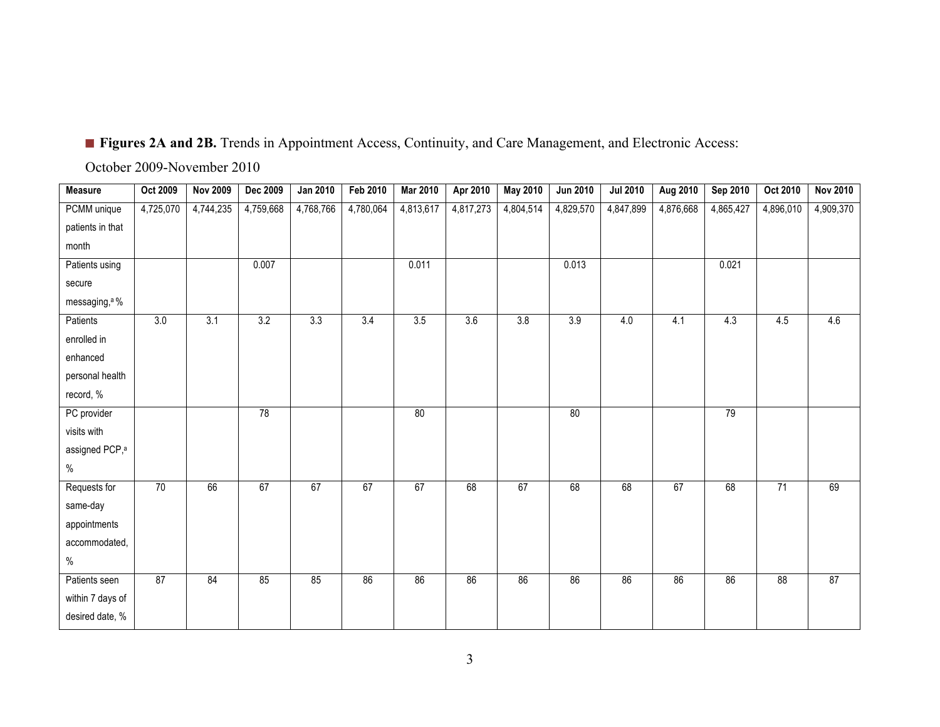## ■ **Figures 2A and 2B.** Trends in Appointment Access, Continuity, and Care Management, and Electronic Access:

October 2009-November 2010

| <b>Measure</b>             | <b>Oct 2009</b> | <b>Nov 2009</b> | <b>Dec 2009</b> | Jan 2010  | Feb 2010  | <b>Mar 2010</b> | Apr 2010  | May 2010  | <b>Jun 2010</b> | <b>Jul 2010</b> | Aug 2010  | Sep 2010  | Oct 2010  | <b>Nov 2010</b> |
|----------------------------|-----------------|-----------------|-----------------|-----------|-----------|-----------------|-----------|-----------|-----------------|-----------------|-----------|-----------|-----------|-----------------|
| PCMM unique                | 4,725,070       | 4,744,235       | 4,759,668       | 4,768,766 | 4,780,064 | 4,813,617       | 4,817,273 | 4,804,514 | 4,829,570       | 4,847,899       | 4,876,668 | 4,865,427 | 4,896,010 | 4,909,370       |
| patients in that           |                 |                 |                 |           |           |                 |           |           |                 |                 |           |           |           |                 |
| month                      |                 |                 |                 |           |           |                 |           |           |                 |                 |           |           |           |                 |
| Patients using             |                 |                 | 0.007           |           |           | 0.011           |           |           | 0.013           |                 |           | 0.021     |           |                 |
| secure                     |                 |                 |                 |           |           |                 |           |           |                 |                 |           |           |           |                 |
| messaging, <sup>a</sup> %  |                 |                 |                 |           |           |                 |           |           |                 |                 |           |           |           |                 |
| Patients                   | 3.0             | 3.1             | 3.2             | 3.3       | 3.4       | 3.5             | 3.6       | 3.8       | 3.9             | 4.0             | 4.1       | 4.3       | 4.5       | 4.6             |
| enrolled in                |                 |                 |                 |           |           |                 |           |           |                 |                 |           |           |           |                 |
| enhanced                   |                 |                 |                 |           |           |                 |           |           |                 |                 |           |           |           |                 |
| personal health            |                 |                 |                 |           |           |                 |           |           |                 |                 |           |           |           |                 |
| record, %                  |                 |                 |                 |           |           |                 |           |           |                 |                 |           |           |           |                 |
| PC provider                |                 |                 | 78              |           |           | 80              |           |           | 80              |                 |           | 79        |           |                 |
| visits with                |                 |                 |                 |           |           |                 |           |           |                 |                 |           |           |           |                 |
| assigned PCP, <sup>a</sup> |                 |                 |                 |           |           |                 |           |           |                 |                 |           |           |           |                 |
| $\%$                       |                 |                 |                 |           |           |                 |           |           |                 |                 |           |           |           |                 |
| Requests for               | 70              | 66              | 67              | 67        | 67        | 67              | 68        | 67        | 68              | 68              | 67        | 68        | 71        | 69              |
| same-day                   |                 |                 |                 |           |           |                 |           |           |                 |                 |           |           |           |                 |
| appointments               |                 |                 |                 |           |           |                 |           |           |                 |                 |           |           |           |                 |
| accommodated,              |                 |                 |                 |           |           |                 |           |           |                 |                 |           |           |           |                 |
| $\%$                       |                 |                 |                 |           |           |                 |           |           |                 |                 |           |           |           |                 |
| Patients seen              | 87              | 84              | 85              | 85        | 86        | 86              | 86        | 86        | 86              | 86              | 86        | 86        | 88        | 87              |
| within 7 days of           |                 |                 |                 |           |           |                 |           |           |                 |                 |           |           |           |                 |
| desired date, %            |                 |                 |                 |           |           |                 |           |           |                 |                 |           |           |           |                 |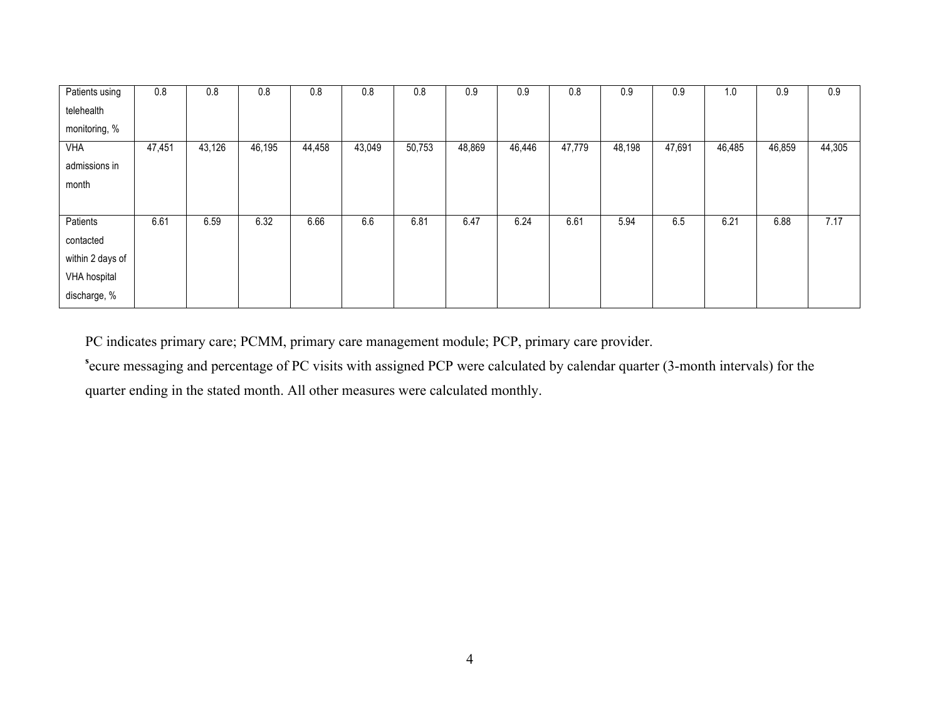| Patients using   | 0.8    | 0.8    | 0.8    | 0.8    | 0.8    | 0.8    | 0.9    | 0.9    | 0.8    | 0.9    | 0.9    | 1.0    | 0.9    | 0.9    |
|------------------|--------|--------|--------|--------|--------|--------|--------|--------|--------|--------|--------|--------|--------|--------|
| telehealth       |        |        |        |        |        |        |        |        |        |        |        |        |        |        |
| monitoring, %    |        |        |        |        |        |        |        |        |        |        |        |        |        |        |
| <b>VHA</b>       | 47,451 | 43,126 | 46,195 | 44,458 | 43,049 | 50,753 | 48,869 | 46,446 | 47,779 | 48,198 | 47,691 | 46,485 | 46,859 | 44,305 |
| admissions in    |        |        |        |        |        |        |        |        |        |        |        |        |        |        |
| month            |        |        |        |        |        |        |        |        |        |        |        |        |        |        |
|                  |        |        |        |        |        |        |        |        |        |        |        |        |        |        |
| Patients         | 6.61   | 6.59   | 6.32   | 6.66   | 6.6    | 6.81   | 6.47   | 6.24   | 6.61   | 5.94   | 6.5    | 6.21   | 6.88   | 7.17   |
| contacted        |        |        |        |        |        |        |        |        |        |        |        |        |        |        |
| within 2 days of |        |        |        |        |        |        |        |        |        |        |        |        |        |        |
| VHA hospital     |        |        |        |        |        |        |        |        |        |        |        |        |        |        |
| discharge, %     |        |        |        |        |        |        |        |        |        |        |        |        |        |        |

PC indicates primary care; PCMM, primary care management module; PCP, primary care provider.

**s** ecure messaging and percentage of PC visits with assigned PCP were calculated by calendar quarter (3-month intervals) for the quarter ending in the stated month. All other measures were calculated monthly.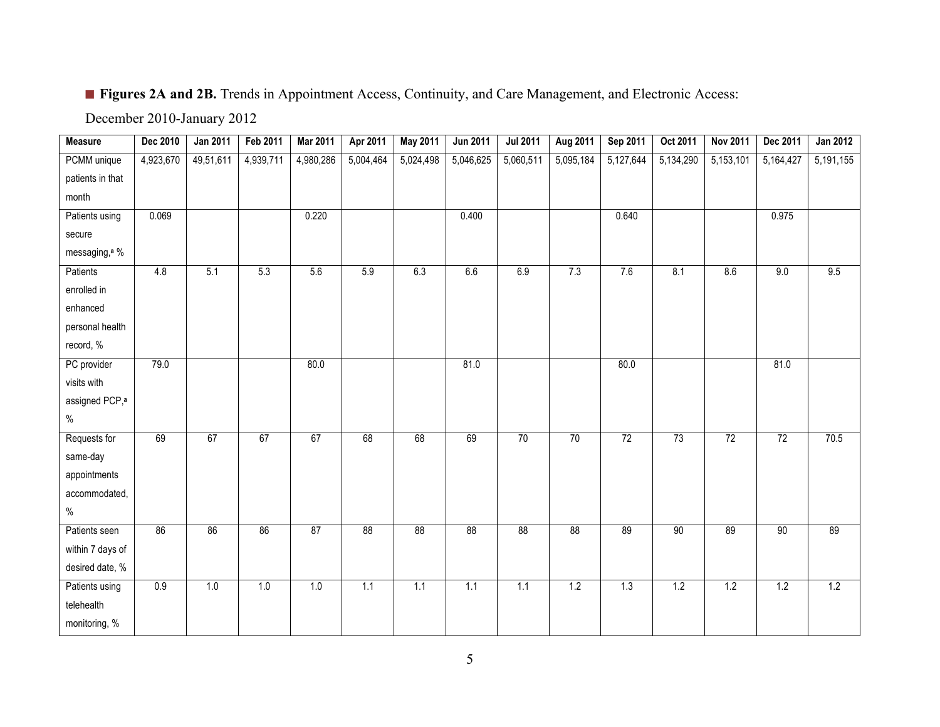## ■ **Figures 2A and 2B.** Trends in Appointment Access, Continuity, and Care Management, and Electronic Access:

December 2010-January 2012

| <b>Measure</b>             | Dec 2010  | <b>Jan 2011</b> | Feb 2011  | <b>Mar 2011</b> | Apr 2011  | <b>May 2011</b> | <b>Jun 2011</b> | <b>Jul 2011</b> | Aug 2011  | Sep 2011  | Oct 2011  | <b>Nov 2011</b> | Dec 2011  | Jan 2012  |
|----------------------------|-----------|-----------------|-----------|-----------------|-----------|-----------------|-----------------|-----------------|-----------|-----------|-----------|-----------------|-----------|-----------|
| PCMM unique                | 4,923,670 | 49,51,611       | 4,939,711 | 4,980,286       | 5,004,464 | 5,024,498       | 5,046,625       | 5,060,511       | 5,095,184 | 5,127,644 | 5,134,290 | 5,153,101       | 5,164,427 | 5,191,155 |
| patients in that           |           |                 |           |                 |           |                 |                 |                 |           |           |           |                 |           |           |
| month                      |           |                 |           |                 |           |                 |                 |                 |           |           |           |                 |           |           |
| Patients using             | 0.069     |                 |           | 0.220           |           |                 | 0.400           |                 |           | 0.640     |           |                 | 0.975     |           |
| secure                     |           |                 |           |                 |           |                 |                 |                 |           |           |           |                 |           |           |
| messaging, <sup>a</sup> %  |           |                 |           |                 |           |                 |                 |                 |           |           |           |                 |           |           |
| Patients                   | 4.8       | 5.1             | 5.3       | 5.6             | 5.9       | 6.3             | 6.6             | 6.9             | 7.3       | 7.6       | 8.1       | 8.6             | 9.0       | 9.5       |
| enrolled in                |           |                 |           |                 |           |                 |                 |                 |           |           |           |                 |           |           |
| enhanced                   |           |                 |           |                 |           |                 |                 |                 |           |           |           |                 |           |           |
| personal health            |           |                 |           |                 |           |                 |                 |                 |           |           |           |                 |           |           |
| record, %                  |           |                 |           |                 |           |                 |                 |                 |           |           |           |                 |           |           |
| PC provider                | 79.0      |                 |           | 80.0            |           |                 | 81.0            |                 |           | 80.0      |           |                 | 81.0      |           |
| visits with                |           |                 |           |                 |           |                 |                 |                 |           |           |           |                 |           |           |
| assigned PCP, <sup>a</sup> |           |                 |           |                 |           |                 |                 |                 |           |           |           |                 |           |           |
| $\%$                       |           |                 |           |                 |           |                 |                 |                 |           |           |           |                 |           |           |
| Requests for               | 69        | 67              | 67        | 67              | 68        | 68              | 69              | 70              | 70        | 72        | 73        | 72              | 72        | 70.5      |
| same-day                   |           |                 |           |                 |           |                 |                 |                 |           |           |           |                 |           |           |
| appointments               |           |                 |           |                 |           |                 |                 |                 |           |           |           |                 |           |           |
| accommodated,              |           |                 |           |                 |           |                 |                 |                 |           |           |           |                 |           |           |
| $\%$                       |           |                 |           |                 |           |                 |                 |                 |           |           |           |                 |           |           |
| Patients seen              | 86        | 86              | 86        | 87              | 88        | 88              | 88              | 88              | 88        | 89        | 90        | 89              | 90        | 89        |
| within 7 days of           |           |                 |           |                 |           |                 |                 |                 |           |           |           |                 |           |           |
| desired date, %            |           |                 |           |                 |           |                 |                 |                 |           |           |           |                 |           |           |
| Patients using             | 0.9       | 1.0             | 1.0       | 1.0             | 1.1       | 1.1             | 1.1             | 1.1             | 1.2       | 1.3       | 1.2       | 1.2             | 1.2       | 1.2       |
| telehealth                 |           |                 |           |                 |           |                 |                 |                 |           |           |           |                 |           |           |
| monitoring, %              |           |                 |           |                 |           |                 |                 |                 |           |           |           |                 |           |           |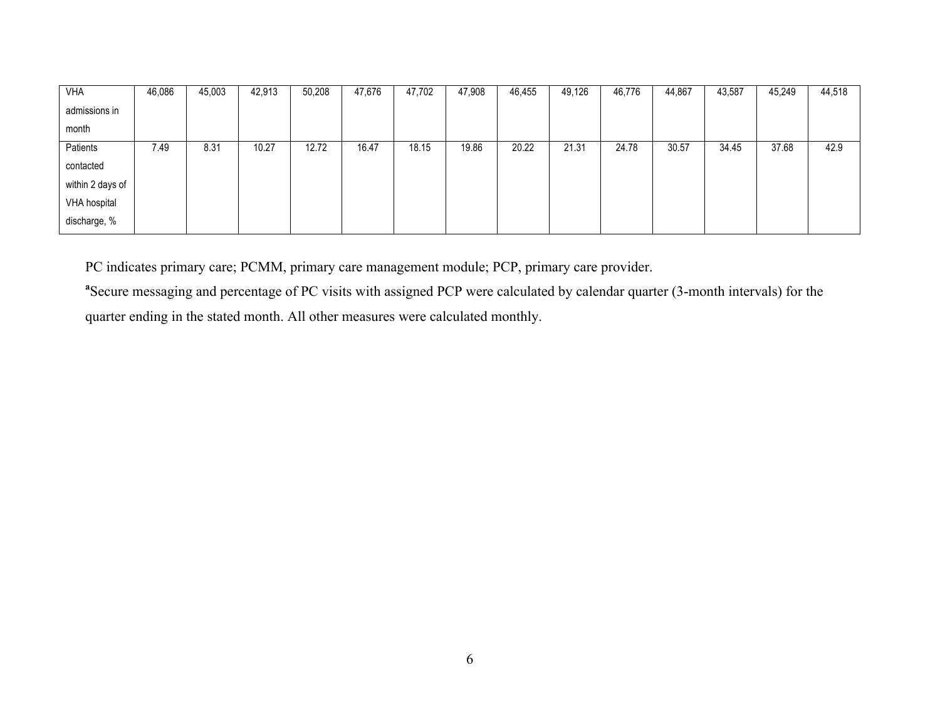| <b>VHA</b>       | 46,086 | 45,003 | 42,913 | 50,208 | 47,676 | 47,702 | 47,908 | 46,455 | 49,126 | 46,776 | 44,867 | 43,587 | 45,249 | 44,518 |
|------------------|--------|--------|--------|--------|--------|--------|--------|--------|--------|--------|--------|--------|--------|--------|
| admissions in    |        |        |        |        |        |        |        |        |        |        |        |        |        |        |
| month            |        |        |        |        |        |        |        |        |        |        |        |        |        |        |
| Patients         | 7.49   | 8.31   | 10.27  | 12.72  | 16.47  | 18.15  | 19.86  | 20.22  | 21.31  | 24.78  | 30.57  | 34.45  | 37.68  | 42.9   |
| contacted        |        |        |        |        |        |        |        |        |        |        |        |        |        |        |
| within 2 days of |        |        |        |        |        |        |        |        |        |        |        |        |        |        |
| VHA hospital     |        |        |        |        |        |        |        |        |        |        |        |        |        |        |
| discharge, %     |        |        |        |        |        |        |        |        |        |        |        |        |        |        |

PC indicates primary care; PCMM, primary care management module; PCP, primary care provider.

<sup>a</sup> Secure messaging and percentage of PC visits with assigned PCP were calculated by calendar quarter (3-month intervals) for the quarter ending in the stated month. All other measures were calculated monthly.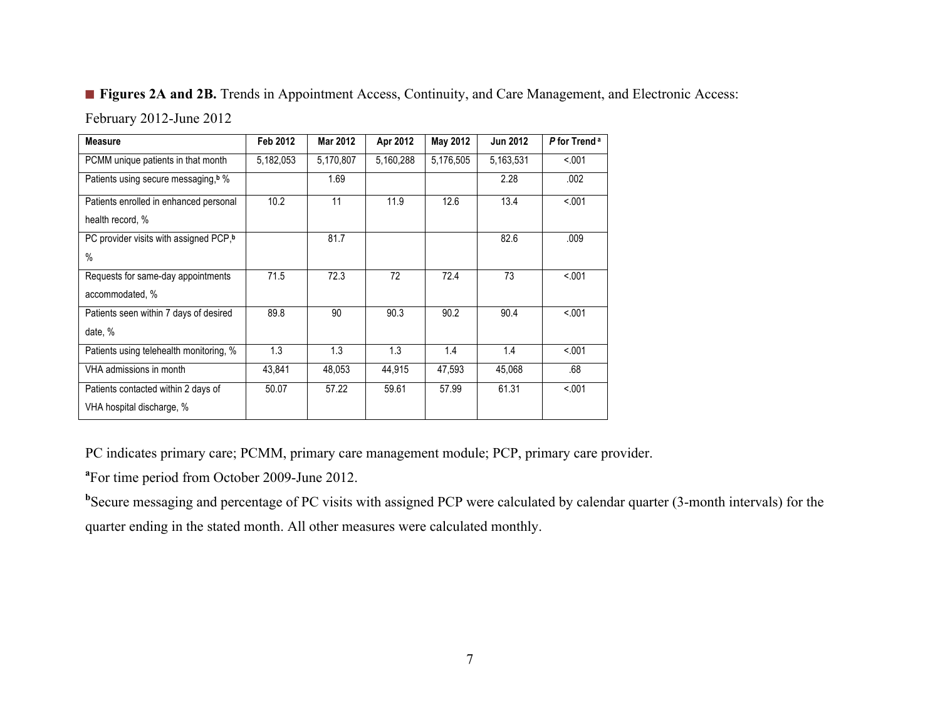## ■ **Figures 2A and 2B.** Trends in Appointment Access, Continuity, and Care Management, and Electronic Access:

February 2012-June 2012

| <b>Measure</b>                                                   | Feb 2012  | Mar 2012  | Apr 2012  | May 2012  | <b>Jun 2012</b> | P for Trend <sup>a</sup> |
|------------------------------------------------------------------|-----------|-----------|-----------|-----------|-----------------|--------------------------|
| PCMM unique patients in that month                               | 5,182,053 | 5,170,807 | 5,160,288 | 5,176,505 | 5,163,531       | < 0.01                   |
| Patients using secure messaging, <sup>b</sup> %                  |           | 1.69      |           |           | 2.28            | .002                     |
| Patients enrolled in enhanced personal<br>health record, %       | 10.2      | 11        | 11.9      | 12.6      | 13.4            | < 0.01                   |
| PC provider visits with assigned PCP, <sup>b</sup><br>$\%$       |           | 81.7      |           |           | 82.6            | .009                     |
| Requests for same-day appointments<br>accommodated, %            | 71.5      | 72.3      | 72        | 72.4      | 73              | < .001                   |
| Patients seen within 7 days of desired<br>date, %                | 89.8      | 90        | 90.3      | 90.2      | 90.4            | < .001                   |
| Patients using telehealth monitoring, %                          | 1.3       | 1.3       | 1.3       | 1.4       | 1.4             | < 0.01                   |
| VHA admissions in month                                          | 43,841    | 48,053    | 44,915    | 47,593    | 45,068          | .68                      |
| Patients contacted within 2 days of<br>VHA hospital discharge, % | 50.07     | 57.22     | 59.61     | 57.99     | 61.31           | < 0.01                   |

PC indicates primary care; PCMM, primary care management module; PCP, primary care provider.

**a** For time period from October 2009-June 2012.

<sup>b</sup>Secure messaging and percentage of PC visits with assigned PCP were calculated by calendar quarter (3-month intervals) for the quarter ending in the stated month. All other measures were calculated monthly.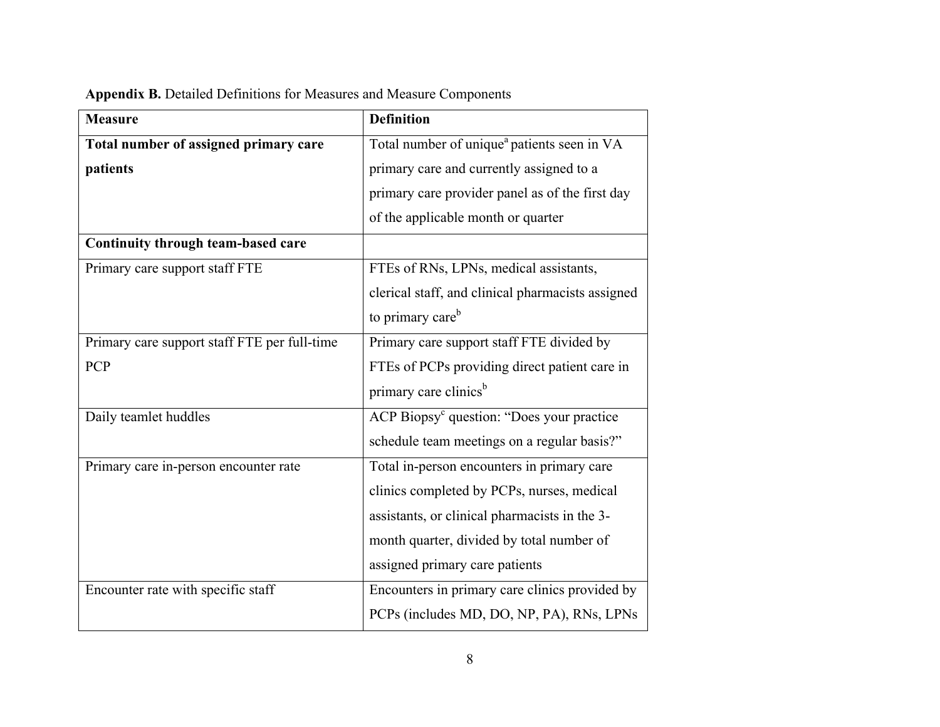| <b>Measure</b>                               | <b>Definition</b>                                       |
|----------------------------------------------|---------------------------------------------------------|
| Total number of assigned primary care        | Total number of unique <sup>a</sup> patients seen in VA |
| patients                                     | primary care and currently assigned to a                |
|                                              | primary care provider panel as of the first day         |
|                                              | of the applicable month or quarter                      |
| Continuity through team-based care           |                                                         |
| Primary care support staff FTE               | FTEs of RNs, LPNs, medical assistants,                  |
|                                              | clerical staff, and clinical pharmacists assigned       |
|                                              | to primary care <sup>b</sup>                            |
| Primary care support staff FTE per full-time | Primary care support staff FTE divided by               |
| PCP                                          | FTEs of PCPs providing direct patient care in           |
|                                              | primary care clinics <sup>b</sup>                       |
| Daily teamlet huddles                        | ACP Biopsy <sup>c</sup> question: "Does your practice   |
|                                              | schedule team meetings on a regular basis?"             |
| Primary care in-person encounter rate        | Total in-person encounters in primary care              |
|                                              | clinics completed by PCPs, nurses, medical              |
|                                              | assistants, or clinical pharmacists in the 3-           |
|                                              | month quarter, divided by total number of               |
|                                              | assigned primary care patients                          |
| Encounter rate with specific staff           | Encounters in primary care clinics provided by          |
|                                              | PCPs (includes MD, DO, NP, PA), RNs, LPNs               |

**Appendix B.** Detailed Definitions for Measures and Measure Components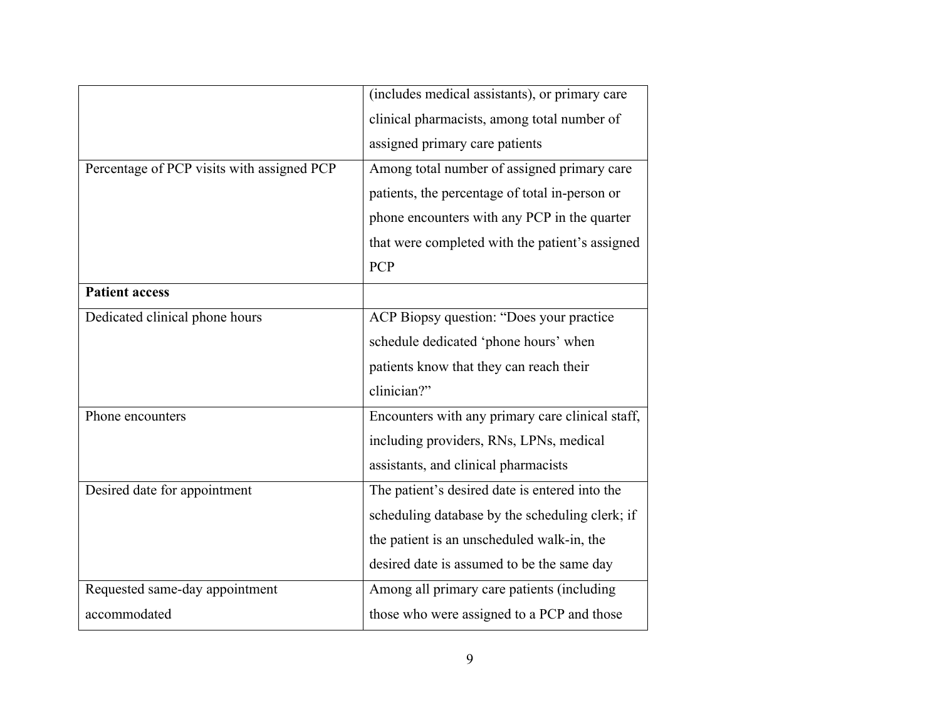|                                            | (includes medical assistants), or primary care   |
|--------------------------------------------|--------------------------------------------------|
|                                            | clinical pharmacists, among total number of      |
|                                            | assigned primary care patients                   |
| Percentage of PCP visits with assigned PCP | Among total number of assigned primary care      |
|                                            | patients, the percentage of total in-person or   |
|                                            | phone encounters with any PCP in the quarter     |
|                                            | that were completed with the patient's assigned  |
|                                            | <b>PCP</b>                                       |
| <b>Patient access</b>                      |                                                  |
| Dedicated clinical phone hours             | ACP Biopsy question: "Does your practice         |
|                                            | schedule dedicated 'phone hours' when            |
|                                            | patients know that they can reach their          |
|                                            | clinician?"                                      |
| Phone encounters                           | Encounters with any primary care clinical staff, |
|                                            | including providers, RNs, LPNs, medical          |
|                                            | assistants, and clinical pharmacists             |
| Desired date for appointment               | The patient's desired date is entered into the   |
|                                            | scheduling database by the scheduling clerk; if  |
|                                            | the patient is an unscheduled walk-in, the       |
|                                            | desired date is assumed to be the same day       |
| Requested same-day appointment             | Among all primary care patients (including       |
| accommodated                               | those who were assigned to a PCP and those       |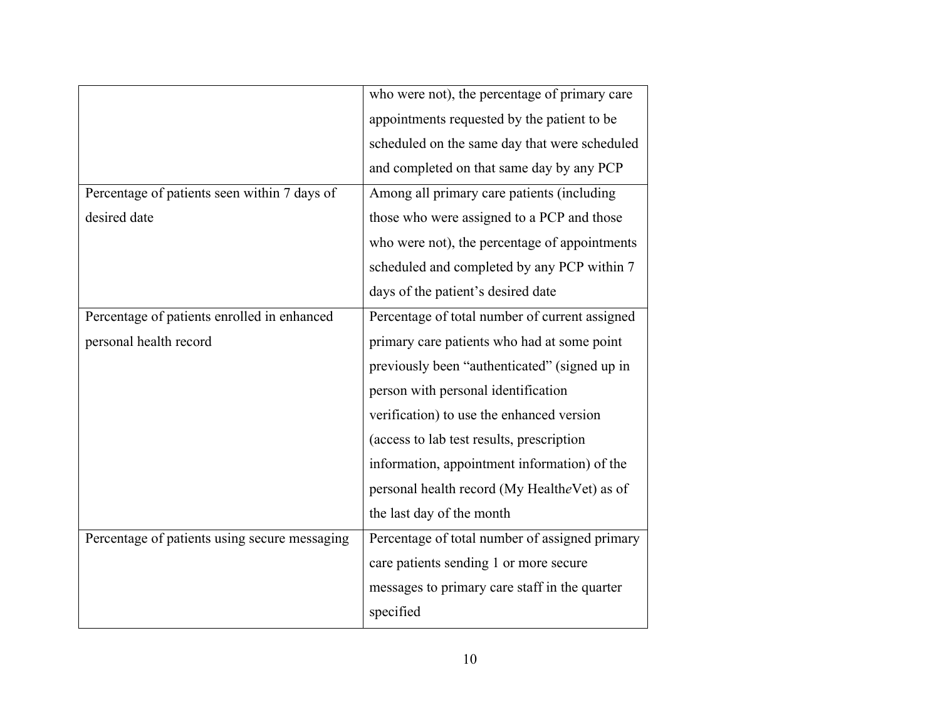|                                               | who were not), the percentage of primary care  |
|-----------------------------------------------|------------------------------------------------|
|                                               | appointments requested by the patient to be    |
|                                               | scheduled on the same day that were scheduled  |
|                                               | and completed on that same day by any PCP      |
| Percentage of patients seen within 7 days of  | Among all primary care patients (including     |
| desired date                                  | those who were assigned to a PCP and those     |
|                                               | who were not), the percentage of appointments  |
|                                               | scheduled and completed by any PCP within 7    |
|                                               | days of the patient's desired date             |
| Percentage of patients enrolled in enhanced   | Percentage of total number of current assigned |
| personal health record                        | primary care patients who had at some point    |
|                                               | previously been "authenticated" (signed up in  |
|                                               | person with personal identification            |
|                                               | verification) to use the enhanced version      |
|                                               | (access to lab test results, prescription      |
|                                               | information, appointment information) of the   |
|                                               | personal health record (My HealtheVet) as of   |
|                                               | the last day of the month                      |
| Percentage of patients using secure messaging | Percentage of total number of assigned primary |
|                                               | care patients sending 1 or more secure         |
|                                               | messages to primary care staff in the quarter  |
|                                               | specified                                      |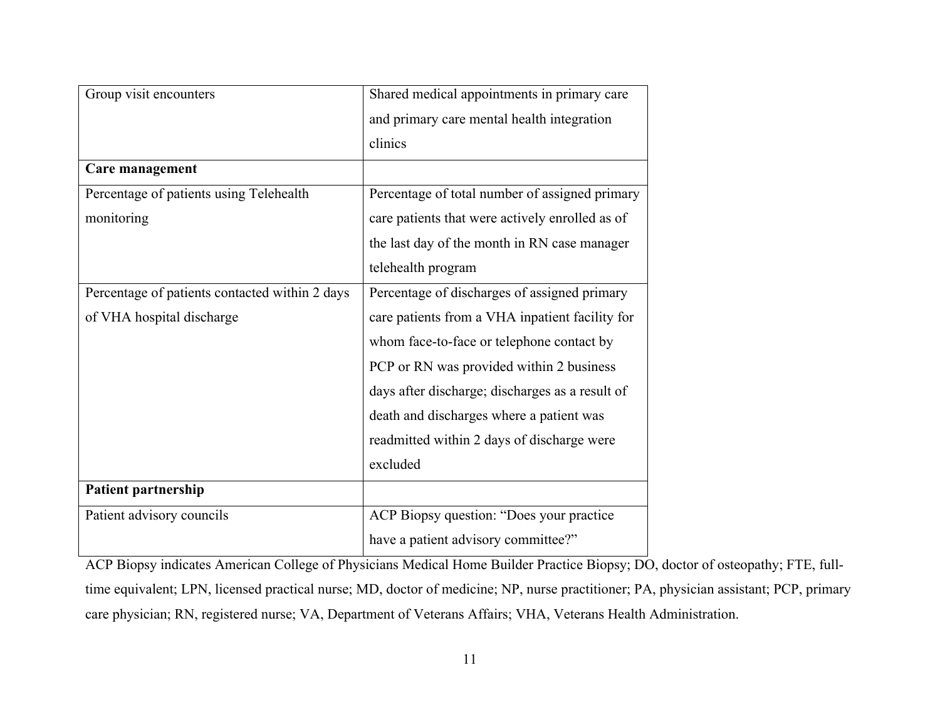| Group visit encounters                         | Shared medical appointments in primary care     |
|------------------------------------------------|-------------------------------------------------|
|                                                | and primary care mental health integration      |
|                                                | clinics                                         |
| Care management                                |                                                 |
| Percentage of patients using Telehealth        | Percentage of total number of assigned primary  |
| monitoring                                     | care patients that were actively enrolled as of |
|                                                | the last day of the month in RN case manager    |
|                                                | telehealth program                              |
| Percentage of patients contacted within 2 days | Percentage of discharges of assigned primary    |
| of VHA hospital discharge                      | care patients from a VHA inpatient facility for |
|                                                | whom face-to-face or telephone contact by       |
|                                                | PCP or RN was provided within 2 business        |
|                                                | days after discharge; discharges as a result of |
|                                                | death and discharges where a patient was        |
|                                                | readmitted within 2 days of discharge were      |
|                                                | excluded                                        |
| Patient partnership                            |                                                 |
| Patient advisory councils                      | ACP Biopsy question: "Does your practice        |
|                                                | have a patient advisory committee?"             |

ACP Biopsy indicates American College of Physicians Medical Home Builder Practice Biopsy; DO, doctor of osteopathy; FTE, fulltime equivalent; LPN, licensed practical nurse; MD, doctor of medicine; NP, nurse practitioner; PA, physician assistant; PCP, primary care physician; RN, registered nurse; VA, Department of Veterans Affairs; VHA, Veterans Health Administration.